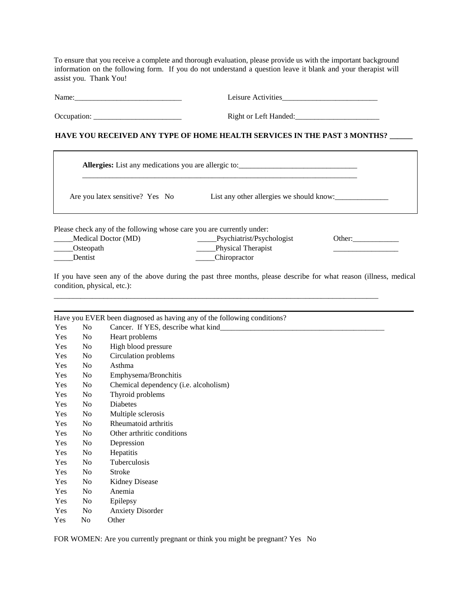To ensure that you receive a complete and thorough evaluation, please provide us with the important background information on the following form. If you do not understand a question leave it blank and your therapist will assist you. Thank You!

Name:\_\_\_\_\_\_\_\_\_\_\_\_\_\_\_\_\_\_\_\_\_\_\_\_\_\_\_\_ Leisure Activities\_\_\_\_\_\_\_\_\_\_\_\_\_\_\_\_\_\_\_\_\_\_\_\_\_

Dentist Chiropractor

Occupation: \_\_\_\_\_\_\_\_\_\_\_\_\_\_\_\_\_\_\_\_\_\_\_ Right or Left Handed:\_\_\_\_\_\_\_\_\_\_\_\_\_\_\_\_\_\_\_\_\_\_

## **HAVE YOU RECEIVED ANY TYPE OF HOME HEALTH SERVICES IN THE PAST 3 MONTHS? \_\_\_\_\_\_**

|                                                                                                                | <b>Allergies:</b> List any medications you are allergic to: |        |  |
|----------------------------------------------------------------------------------------------------------------|-------------------------------------------------------------|--------|--|
| Are you latex sensitive? Yes No                                                                                | List any other allergies we should know:                    |        |  |
| Please check any of the following whose care you are currently under:<br>Medical Doctor (MD)<br>_____Osteopath | Psychiatrist/Psychologist<br>Physical Therapist             | Other: |  |

If you have seen any of the above during the past three months, please describe for what reason (illness, medical condition, physical, etc.):

\_\_\_\_\_\_\_\_\_\_\_\_\_\_\_\_\_\_\_\_\_\_\_\_\_\_\_\_\_\_\_\_\_\_\_\_\_\_\_\_\_\_\_\_\_\_\_\_\_\_\_\_\_\_\_\_\_\_\_\_\_\_\_\_\_\_\_\_\_\_\_\_\_\_\_\_\_\_\_\_\_\_\_\_\_

|     |                | Have you EVER been diagnosed as having any of the following conditions? |
|-----|----------------|-------------------------------------------------------------------------|
| Yes | No             | Cancer. If YES, describe what kind                                      |
| Yes | No             | Heart problems                                                          |
| Yes | N <sub>0</sub> | High blood pressure                                                     |
| Yes | N <sub>0</sub> | Circulation problems                                                    |
| Yes | No             | Asthma                                                                  |
| Yes | N <sub>0</sub> | Emphysema/Bronchitis                                                    |
| Yes | No             | Chemical dependency (i.e. alcoholism)                                   |
| Yes | No             | Thyroid problems                                                        |
| Yes | N <sub>0</sub> | Diabetes                                                                |
| Yes | No             | Multiple sclerosis                                                      |
| Yes | No             | Rheumatoid arthritis                                                    |
| Yes | N <sub>0</sub> | Other arthritic conditions                                              |
| Yes | No             | Depression                                                              |
| Yes | No             | Hepatitis                                                               |
| Yes | No             | Tuberculosis                                                            |
| Yes | No             | <b>Stroke</b>                                                           |
| Yes | No             | <b>Kidney Disease</b>                                                   |
| Yes | N <sub>0</sub> | Anemia                                                                  |
| Yes | N <sub>0</sub> | Epilepsy                                                                |
| Yes | N <sub>0</sub> | <b>Anxiety Disorder</b>                                                 |
| Yes | No             | Other                                                                   |

FOR WOMEN: Are you currently pregnant or think you might be pregnant? Yes No